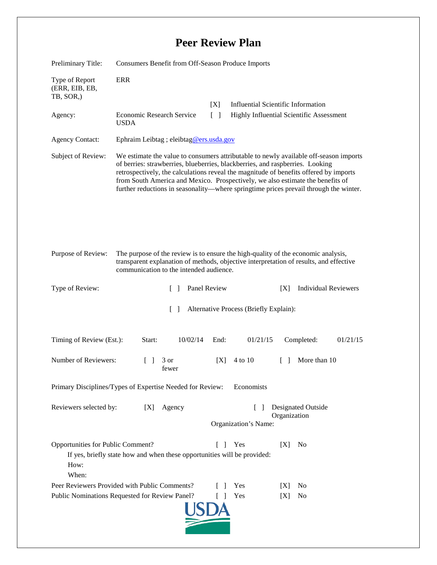## **Peer Review Plan**

| Preliminary Title:                                                                                                                                                       | Consumers Benefit from Off-Season Produce Imports                                                                                                                                                                                                                                                                                                                                                                                          |                                      |                                                                                       |
|--------------------------------------------------------------------------------------------------------------------------------------------------------------------------|--------------------------------------------------------------------------------------------------------------------------------------------------------------------------------------------------------------------------------------------------------------------------------------------------------------------------------------------------------------------------------------------------------------------------------------------|--------------------------------------|---------------------------------------------------------------------------------------|
| Type of Report<br>(ERR, EIB, EB,<br>TB, SOR,)                                                                                                                            | <b>ERR</b>                                                                                                                                                                                                                                                                                                                                                                                                                                 |                                      |                                                                                       |
| Agency:                                                                                                                                                                  | <b>Economic Research Service</b><br><b>USDA</b>                                                                                                                                                                                                                                                                                                                                                                                            | [X]<br>$\lceil \rceil$               | <b>Influential Scientific Information</b><br>Highly Influential Scientific Assessment |
| <b>Agency Contact:</b>                                                                                                                                                   | Ephraim Leibtag ; eleibtag@ers.usda.gov                                                                                                                                                                                                                                                                                                                                                                                                    |                                      |                                                                                       |
| Subject of Review:                                                                                                                                                       | We estimate the value to consumers attributable to newly available off-season imports<br>of berries: strawberries, blueberries, blackberries, and raspberries. Looking<br>retrospectively, the calculations reveal the magnitude of benefits offered by imports<br>from South America and Mexico. Prospectively, we also estimate the benefits of<br>further reductions in seasonality—where springtime prices prevail through the winter. |                                      |                                                                                       |
| Purpose of Review:                                                                                                                                                       | The purpose of the review is to ensure the high-quality of the economic analysis,<br>transparent explanation of methods, objective interpretation of results, and effective<br>communication to the intended audience.                                                                                                                                                                                                                     |                                      |                                                                                       |
| Type of Review:                                                                                                                                                          | Panel Review<br>$\Box$                                                                                                                                                                                                                                                                                                                                                                                                                     |                                      | <b>Individual Reviewers</b><br>[X]                                                    |
| Alternative Process (Briefly Explain):<br>$\mathcal{L}$                                                                                                                  |                                                                                                                                                                                                                                                                                                                                                                                                                                            |                                      |                                                                                       |
| Timing of Review (Est.):                                                                                                                                                 | 10/02/14<br>Start:                                                                                                                                                                                                                                                                                                                                                                                                                         | End:<br>01/21/15                     | Completed:<br>01/21/15                                                                |
| Number of Reviewers:                                                                                                                                                     | 3 or<br>fewer                                                                                                                                                                                                                                                                                                                                                                                                                              | 4 to 10<br>[X]                       | More than 10<br>$\Box$                                                                |
| Primary Disciplines/Types of Expertise Needed for Review:<br>Economists                                                                                                  |                                                                                                                                                                                                                                                                                                                                                                                                                                            |                                      |                                                                                       |
| Reviewers selected by:                                                                                                                                                   | Agency<br>[X]                                                                                                                                                                                                                                                                                                                                                                                                                              | $\mathsf{L}$<br>Organization's Name: | Designated Outside<br>Organization                                                    |
| Opportunities for Public Comment?<br>$\Box$<br>Yes<br>[X]<br>N <sub>0</sub><br>If yes, briefly state how and when these opportunities will be provided:<br>How:<br>When: |                                                                                                                                                                                                                                                                                                                                                                                                                                            |                                      |                                                                                       |
| Peer Reviewers Provided with Public Comments?                                                                                                                            |                                                                                                                                                                                                                                                                                                                                                                                                                                            | Yes                                  | [X]<br>N <sub>0</sub>                                                                 |
| Public Nominations Requested for Review Panel?<br>Yes<br>N <sub>0</sub><br>$\Box$<br>[X]                                                                                 |                                                                                                                                                                                                                                                                                                                                                                                                                                            |                                      |                                                                                       |